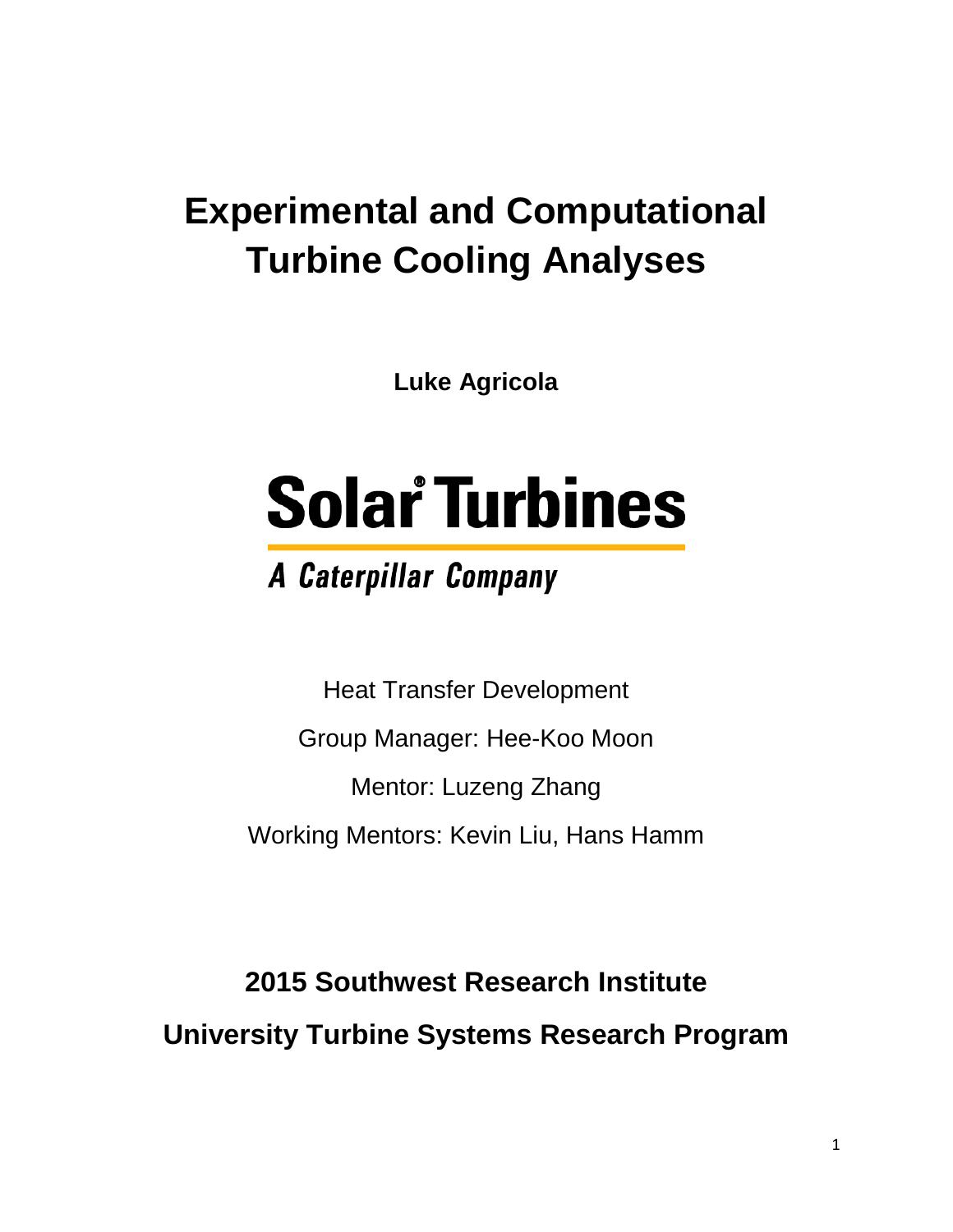# **Experimental and Computational Turbine Cooling Analyses**

**Luke Agricola**

# **Solar Turbines**

# **A Caterpillar Company**

Heat Transfer Development Group Manager: Hee-Koo Moon Mentor: Luzeng Zhang Working Mentors: Kevin Liu, Hans Hamm

**2015 Southwest Research Institute University Turbine Systems Research Program**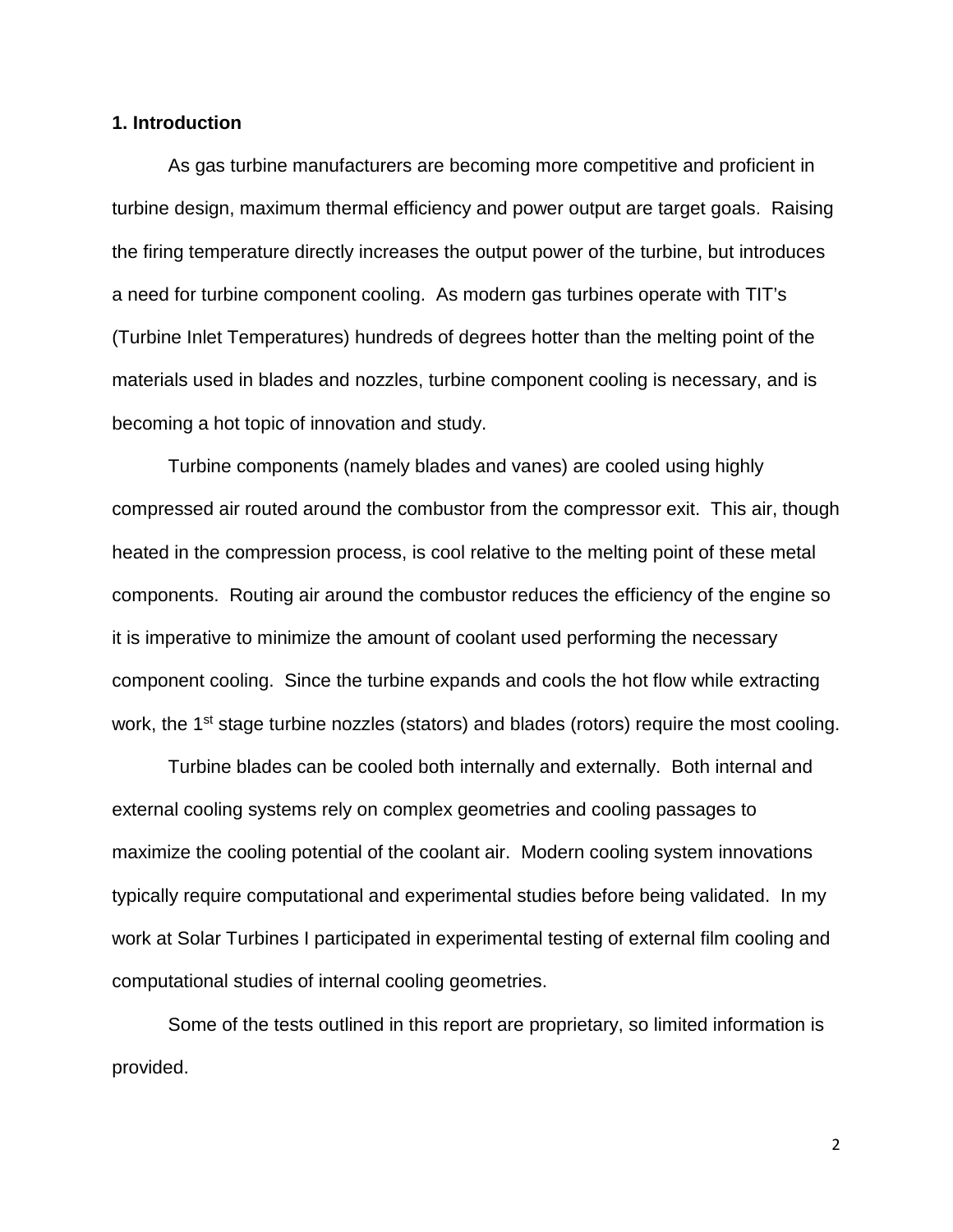## **1. Introduction**

As gas turbine manufacturers are becoming more competitive and proficient in turbine design, maximum thermal efficiency and power output are target goals. Raising the firing temperature directly increases the output power of the turbine, but introduces a need for turbine component cooling. As modern gas turbines operate with TIT's (Turbine Inlet Temperatures) hundreds of degrees hotter than the melting point of the materials used in blades and nozzles, turbine component cooling is necessary, and is becoming a hot topic of innovation and study.

Turbine components (namely blades and vanes) are cooled using highly compressed air routed around the combustor from the compressor exit. This air, though heated in the compression process, is cool relative to the melting point of these metal components. Routing air around the combustor reduces the efficiency of the engine so it is imperative to minimize the amount of coolant used performing the necessary component cooling. Since the turbine expands and cools the hot flow while extracting work, the 1<sup>st</sup> stage turbine nozzles (stators) and blades (rotors) require the most cooling.

Turbine blades can be cooled both internally and externally. Both internal and external cooling systems rely on complex geometries and cooling passages to maximize the cooling potential of the coolant air. Modern cooling system innovations typically require computational and experimental studies before being validated. In my work at Solar Turbines I participated in experimental testing of external film cooling and computational studies of internal cooling geometries.

Some of the tests outlined in this report are proprietary, so limited information is provided.

2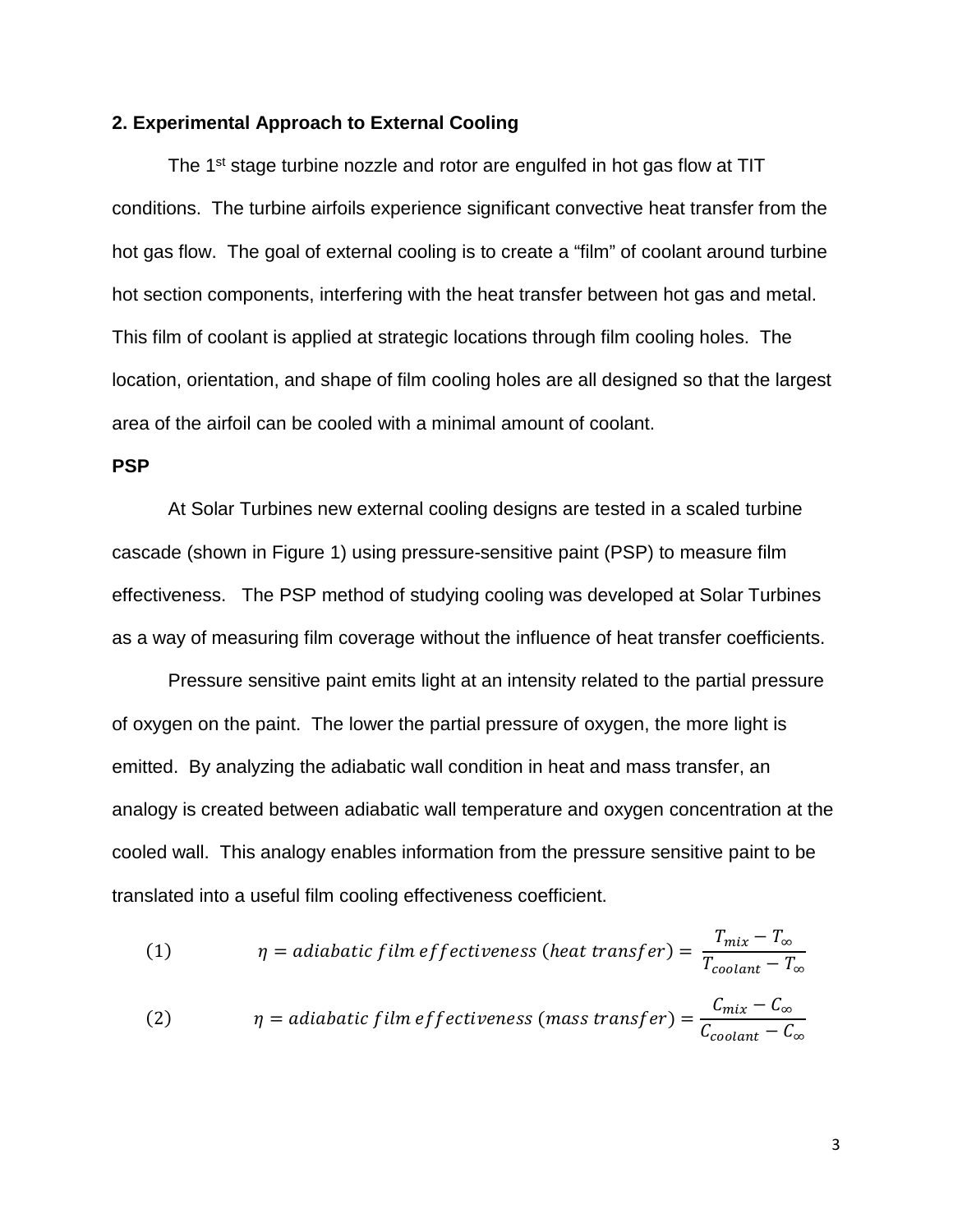## **2. Experimental Approach to External Cooling**

The 1<sup>st</sup> stage turbine nozzle and rotor are engulfed in hot gas flow at TIT conditions. The turbine airfoils experience significant convective heat transfer from the hot gas flow. The goal of external cooling is to create a "film" of coolant around turbine hot section components, interfering with the heat transfer between hot gas and metal. This film of coolant is applied at strategic locations through film cooling holes. The location, orientation, and shape of film cooling holes are all designed so that the largest area of the airfoil can be cooled with a minimal amount of coolant.

#### **PSP**

At Solar Turbines new external cooling designs are tested in a scaled turbine cascade (shown in Figure 1) using pressure-sensitive paint (PSP) to measure film effectiveness. The PSP method of studying cooling was developed at Solar Turbines as a way of measuring film coverage without the influence of heat transfer coefficients.

Pressure sensitive paint emits light at an intensity related to the partial pressure of oxygen on the paint. The lower the partial pressure of oxygen, the more light is emitted. By analyzing the adiabatic wall condition in heat and mass transfer, an analogy is created between adiabatic wall temperature and oxygen concentration at the cooled wall. This analogy enables information from the pressure sensitive paint to be translated into a useful film cooling effectiveness coefficient.

(1) 
$$
\eta = adiabatic film effectiveness (heat transfer) = \frac{T_{mix} - T_{\infty}}{T_{coolant} - T_{\infty}}
$$

$$
\eta = adiabatic film effectiveness (mass transfer) = \frac{C_{mix} - C_{\infty}}{C_{coolant} - C_{\infty}}
$$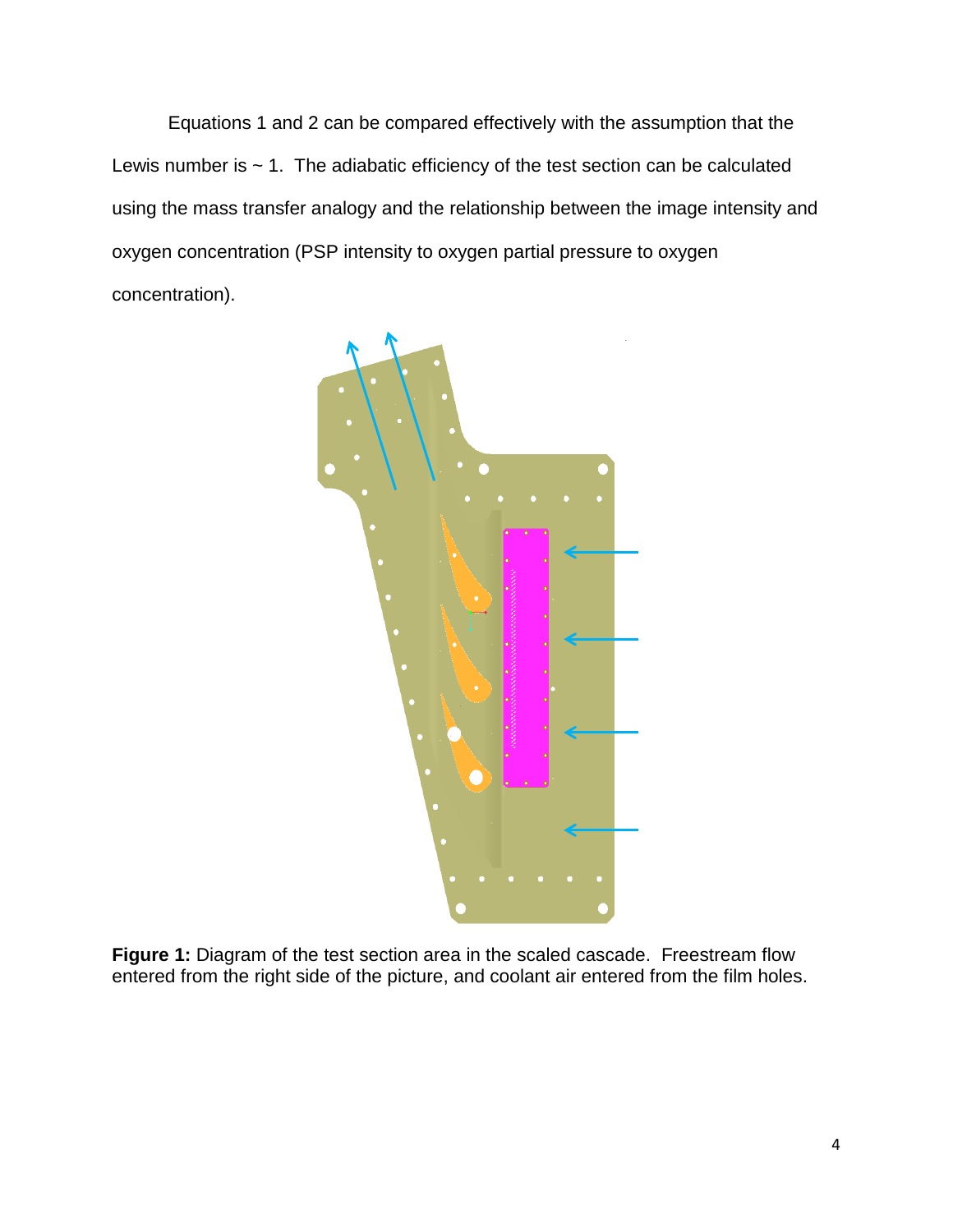Equations 1 and 2 can be compared effectively with the assumption that the Lewis number is  $\sim$  1. The adiabatic efficiency of the test section can be calculated using the mass transfer analogy and the relationship between the image intensity and oxygen concentration (PSP intensity to oxygen partial pressure to oxygen concentration).



**Figure 1:** Diagram of the test section area in the scaled cascade. Freestream flow entered from the right side of the picture, and coolant air entered from the film holes.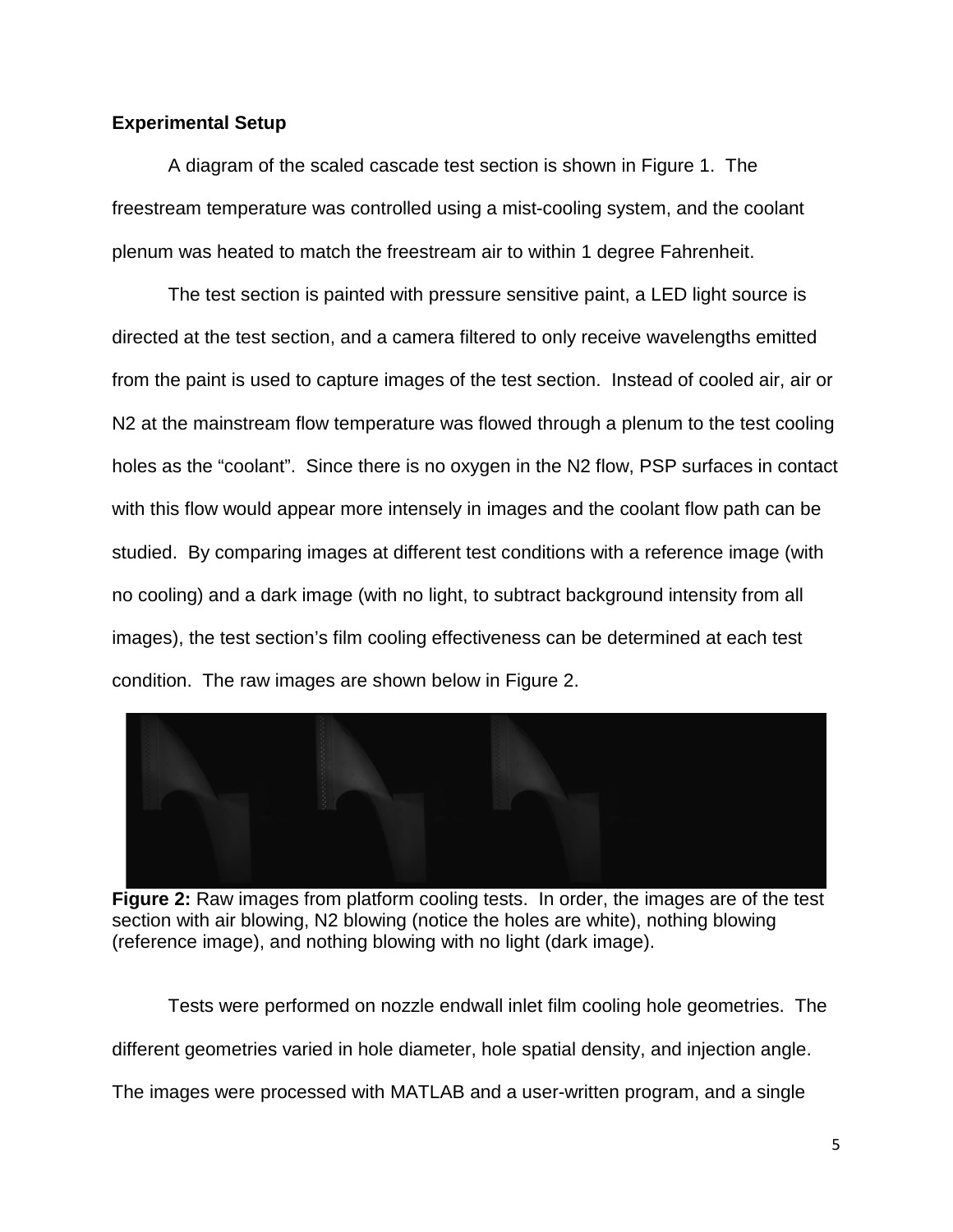# **Experimental Setup**

A diagram of the scaled cascade test section is shown in Figure 1. The freestream temperature was controlled using a mist-cooling system, and the coolant plenum was heated to match the freestream air to within 1 degree Fahrenheit.

The test section is painted with pressure sensitive paint, a LED light source is directed at the test section, and a camera filtered to only receive wavelengths emitted from the paint is used to capture images of the test section. Instead of cooled air, air or N2 at the mainstream flow temperature was flowed through a plenum to the test cooling holes as the "coolant". Since there is no oxygen in the N2 flow, PSP surfaces in contact with this flow would appear more intensely in images and the coolant flow path can be studied. By comparing images at different test conditions with a reference image (with no cooling) and a dark image (with no light, to subtract background intensity from all images), the test section's film cooling effectiveness can be determined at each test condition. The raw images are shown below in Figure 2.



**Figure 2:** Raw images from platform cooling tests. In order, the images are of the test section with air blowing, N2 blowing (notice the holes are white), nothing blowing (reference image), and nothing blowing with no light (dark image).

Tests were performed on nozzle endwall inlet film cooling hole geometries. The different geometries varied in hole diameter, hole spatial density, and injection angle. The images were processed with MATLAB and a user-written program, and a single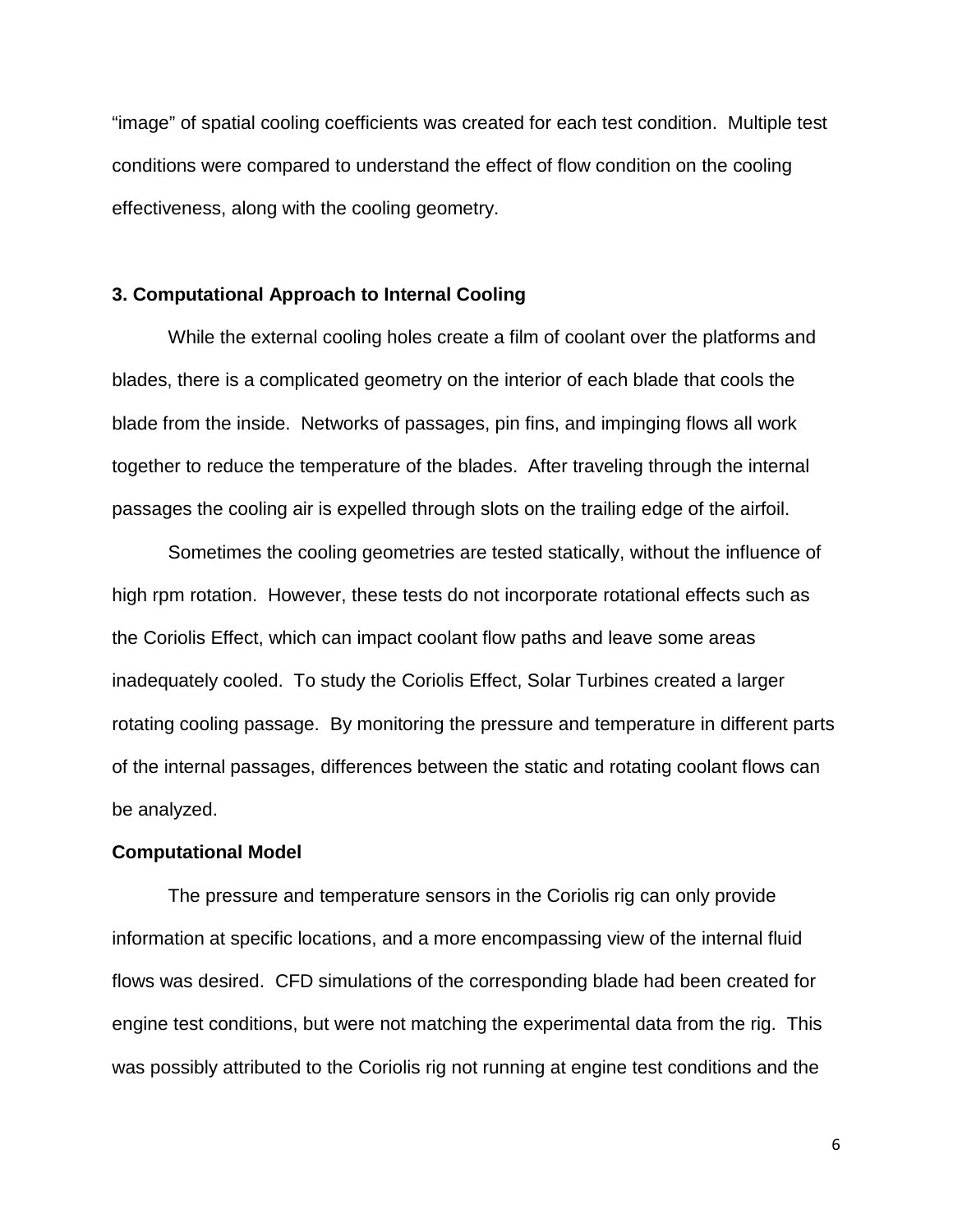"image" of spatial cooling coefficients was created for each test condition. Multiple test conditions were compared to understand the effect of flow condition on the cooling effectiveness, along with the cooling geometry.

## **3. Computational Approach to Internal Cooling**

While the external cooling holes create a film of coolant over the platforms and blades, there is a complicated geometry on the interior of each blade that cools the blade from the inside. Networks of passages, pin fins, and impinging flows all work together to reduce the temperature of the blades. After traveling through the internal passages the cooling air is expelled through slots on the trailing edge of the airfoil.

Sometimes the cooling geometries are tested statically, without the influence of high rpm rotation. However, these tests do not incorporate rotational effects such as the Coriolis Effect, which can impact coolant flow paths and leave some areas inadequately cooled. To study the Coriolis Effect, Solar Turbines created a larger rotating cooling passage. By monitoring the pressure and temperature in different parts of the internal passages, differences between the static and rotating coolant flows can be analyzed.

#### **Computational Model**

The pressure and temperature sensors in the Coriolis rig can only provide information at specific locations, and a more encompassing view of the internal fluid flows was desired. CFD simulations of the corresponding blade had been created for engine test conditions, but were not matching the experimental data from the rig. This was possibly attributed to the Coriolis rig not running at engine test conditions and the

6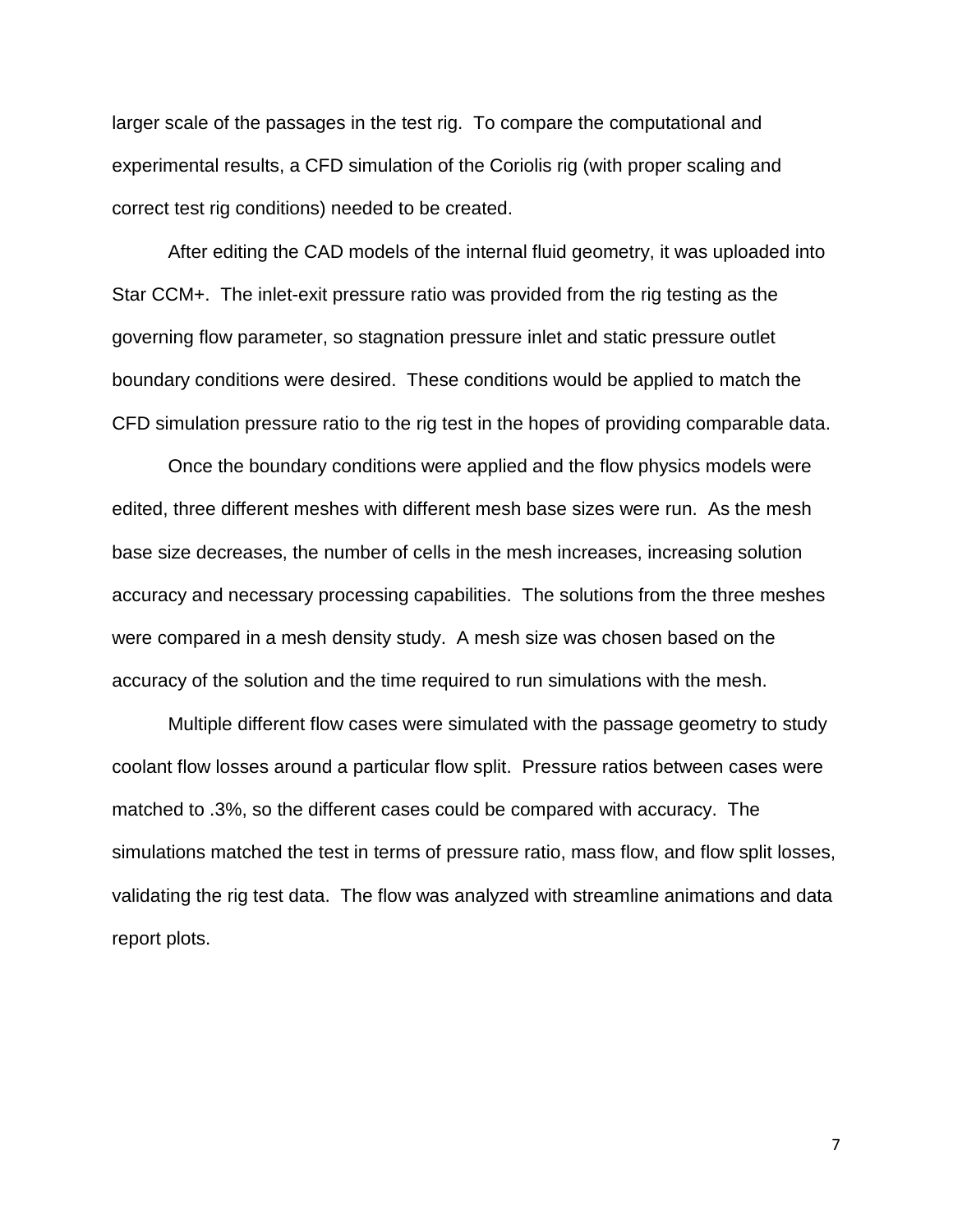larger scale of the passages in the test rig. To compare the computational and experimental results, a CFD simulation of the Coriolis rig (with proper scaling and correct test rig conditions) needed to be created.

After editing the CAD models of the internal fluid geometry, it was uploaded into Star CCM+. The inlet-exit pressure ratio was provided from the rig testing as the governing flow parameter, so stagnation pressure inlet and static pressure outlet boundary conditions were desired. These conditions would be applied to match the CFD simulation pressure ratio to the rig test in the hopes of providing comparable data.

Once the boundary conditions were applied and the flow physics models were edited, three different meshes with different mesh base sizes were run. As the mesh base size decreases, the number of cells in the mesh increases, increasing solution accuracy and necessary processing capabilities. The solutions from the three meshes were compared in a mesh density study. A mesh size was chosen based on the accuracy of the solution and the time required to run simulations with the mesh.

Multiple different flow cases were simulated with the passage geometry to study coolant flow losses around a particular flow split. Pressure ratios between cases were matched to .3%, so the different cases could be compared with accuracy. The simulations matched the test in terms of pressure ratio, mass flow, and flow split losses, validating the rig test data. The flow was analyzed with streamline animations and data report plots.

7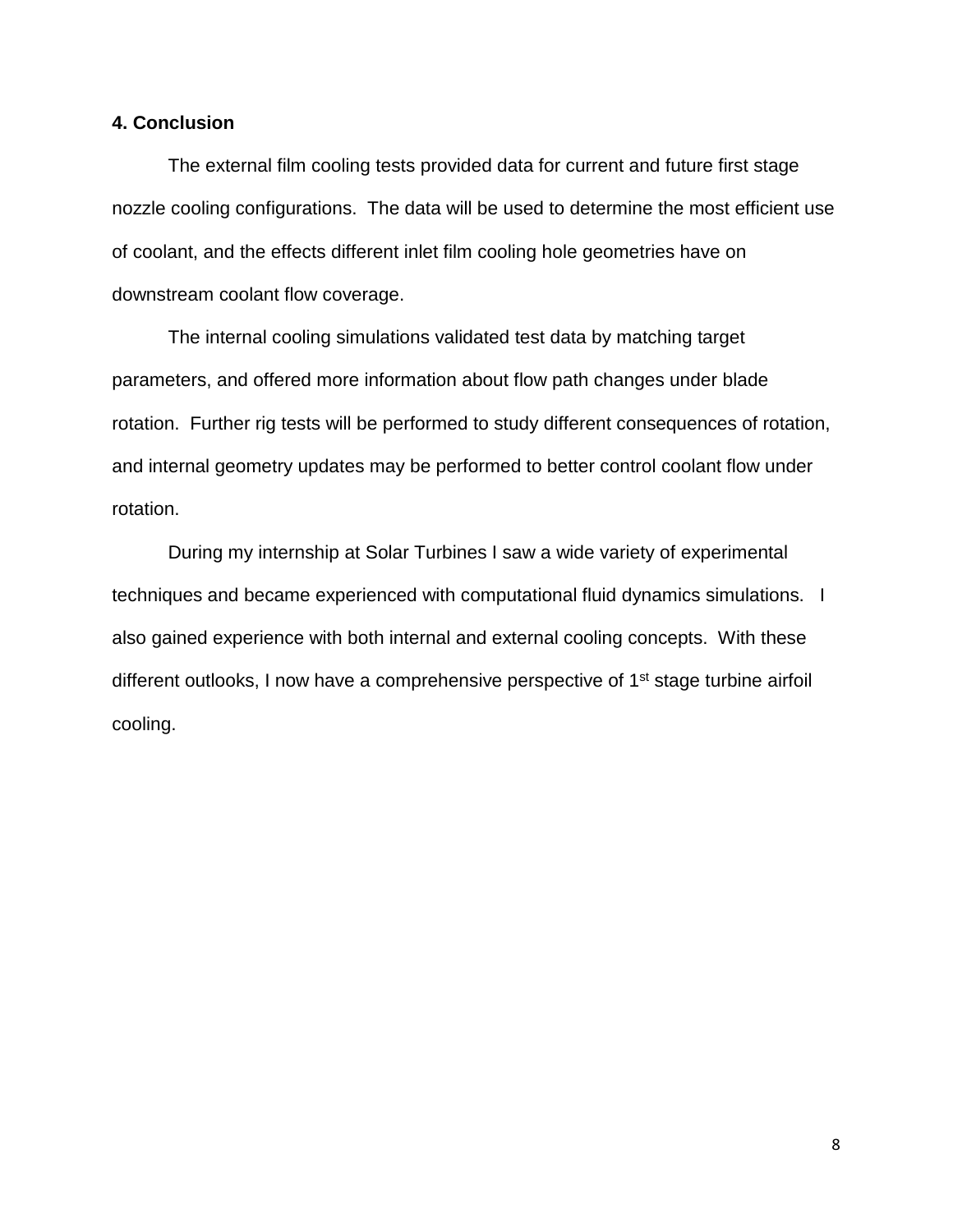# **4. Conclusion**

The external film cooling tests provided data for current and future first stage nozzle cooling configurations. The data will be used to determine the most efficient use of coolant, and the effects different inlet film cooling hole geometries have on downstream coolant flow coverage.

The internal cooling simulations validated test data by matching target parameters, and offered more information about flow path changes under blade rotation. Further rig tests will be performed to study different consequences of rotation, and internal geometry updates may be performed to better control coolant flow under rotation.

During my internship at Solar Turbines I saw a wide variety of experimental techniques and became experienced with computational fluid dynamics simulations. I also gained experience with both internal and external cooling concepts. With these different outlooks, I now have a comprehensive perspective of 1<sup>st</sup> stage turbine airfoil cooling.